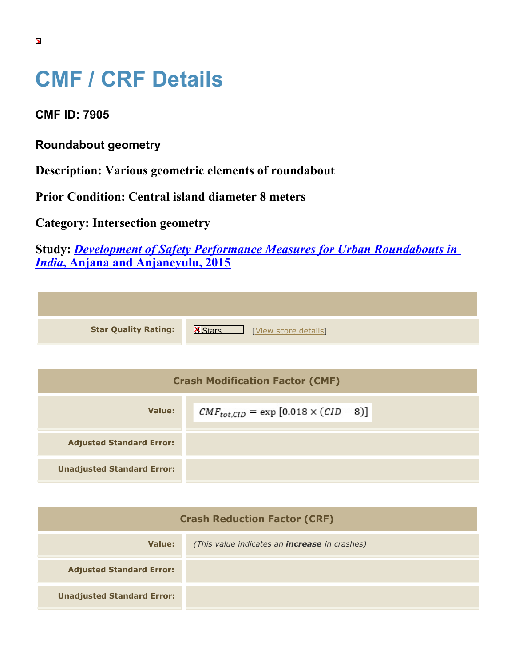## **CMF / CRF Details**

**CMF ID: 7905**

**Roundabout geometry**

**Description: Various geometric elements of roundabout**

**Prior Condition: Central island diameter 8 meters**

**Category: Intersection geometry**

**Study:** *[Development of Safety Performance Measures for Urban Roundabouts in](https://cmfclearinghouse.org/study_detail.cfm?stid=428) [India](https://cmfclearinghouse.org/study_detail.cfm?stid=428)***[, Anjana and Anjaneyulu, 2015](https://cmfclearinghouse.org/study_detail.cfm?stid=428)**

| <b>Star Quality Rating:</b>            | <b>X</b><br>[View score details] |
|----------------------------------------|----------------------------------|
|                                        |                                  |
| <b>Crash Modification Factor (CMF)</b> |                                  |
|                                        |                                  |

| Value:                            | $CMF_{tot,CID} = \exp [0.018 \times (CID - 8)]$ |
|-----------------------------------|-------------------------------------------------|
| <b>Adjusted Standard Error:</b>   |                                                 |
| <b>Unadjusted Standard Error:</b> |                                                 |

| <b>Crash Reduction Factor (CRF)</b> |                                                      |
|-------------------------------------|------------------------------------------------------|
| <b>Value:</b>                       | (This value indicates an <b>increase</b> in crashes) |
| <b>Adjusted Standard Error:</b>     |                                                      |
| <b>Unadjusted Standard Error:</b>   |                                                      |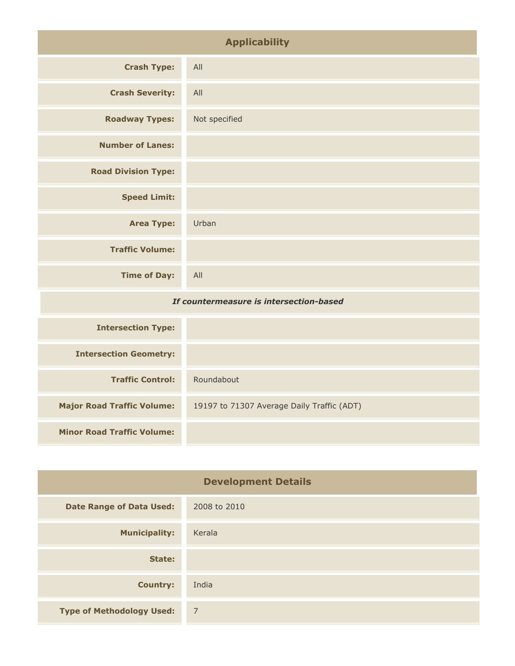| <b>Applicability</b>                    |               |
|-----------------------------------------|---------------|
| <b>Crash Type:</b>                      | All           |
| <b>Crash Severity:</b>                  | All           |
| <b>Roadway Types:</b>                   | Not specified |
| <b>Number of Lanes:</b>                 |               |
| <b>Road Division Type:</b>              |               |
| <b>Speed Limit:</b>                     |               |
| <b>Area Type:</b>                       | Urban         |
| <b>Traffic Volume:</b>                  |               |
| <b>Time of Day:</b>                     | All           |
| If countermeasure is intersection-based |               |

| <b>Intersection Type:</b>         |                                            |
|-----------------------------------|--------------------------------------------|
| <b>Intersection Geometry:</b>     |                                            |
| <b>Traffic Control:</b>           | Roundabout                                 |
| <b>Major Road Traffic Volume:</b> | 19197 to 71307 Average Daily Traffic (ADT) |
| <b>Minor Road Traffic Volume:</b> |                                            |

| <b>Development Details</b>       |                |
|----------------------------------|----------------|
| <b>Date Range of Data Used:</b>  | 2008 to 2010   |
| <b>Municipality:</b>             | Kerala         |
| State:                           |                |
| <b>Country:</b>                  | India          |
| <b>Type of Methodology Used:</b> | $\overline{7}$ |